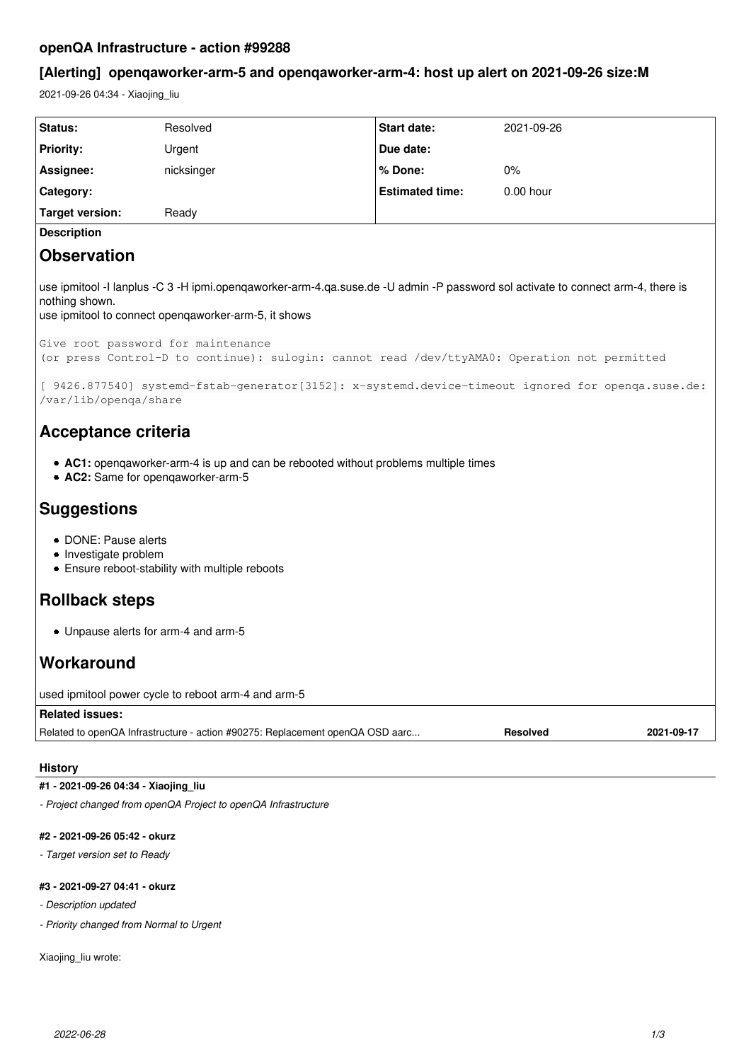## **openQA Infrastructure - action #99288**

# **[Alerting] openqaworker-arm-5 and openqaworker-arm-4: host up alert on 2021-09-26 size:M**

2021-09-26 04:34 - Xiaojing\_liu

| Status:                                                                                                                                                                                                                                                                                                       | Resolved   | <b>Start date:</b>     | 2021-09-26  |
|---------------------------------------------------------------------------------------------------------------------------------------------------------------------------------------------------------------------------------------------------------------------------------------------------------------|------------|------------------------|-------------|
| <b>Priority:</b>                                                                                                                                                                                                                                                                                              | Urgent     | Due date:              |             |
| Assignee:                                                                                                                                                                                                                                                                                                     | nicksinger | % Done:                | 0%          |
| Category:                                                                                                                                                                                                                                                                                                     |            | <b>Estimated time:</b> | $0.00$ hour |
| <b>Target version:</b>                                                                                                                                                                                                                                                                                        | Ready      |                        |             |
| <b>Description</b>                                                                                                                                                                                                                                                                                            |            |                        |             |
| <b>Observation</b>                                                                                                                                                                                                                                                                                            |            |                        |             |
| use ipmitool -I lanplus -C 3 -H ipmi.openqaworker-arm-4.qa.suse.de -U admin -P password sol activate to connect arm-4, there is<br>nothing shown.<br>use ipmitool to connect openqaworker-arm-5, it shows                                                                                                     |            |                        |             |
| Give root password for maintenance<br>(or press Control-D to continue): sulogin: cannot read /dev/ttyAMA0: Operation not permitted                                                                                                                                                                            |            |                        |             |
| [ 9426.877540] systemd-fstab-generator [3152]: x-systemd.device-timeout ignored for openqa.suse.de:<br>/var/lib/openqa/share<br><b>Acceptance criteria</b><br>• AC1: opengaworker-arm-4 is up and can be rebooted without problems multiple times<br>• AC2: Same for opengaworker-arm-5<br><b>Suggestions</b> |            |                        |             |
| • DONE: Pause alerts<br>• Investigate problem<br>• Ensure reboot-stability with multiple reboots                                                                                                                                                                                                              |            |                        |             |
| <b>Rollback steps</b>                                                                                                                                                                                                                                                                                         |            |                        |             |
| • Unpause alerts for arm-4 and arm-5                                                                                                                                                                                                                                                                          |            |                        |             |
| Workaround                                                                                                                                                                                                                                                                                                    |            |                        |             |
| used ipmitool power cycle to reboot arm-4 and arm-5                                                                                                                                                                                                                                                           |            |                        |             |
| <b>Related issues:</b>                                                                                                                                                                                                                                                                                        |            |                        |             |
| Related to openQA Infrastructure - action #90275: Replacement openQA OSD aarc<br><b>Resolved</b><br>2021-09-17                                                                                                                                                                                                |            |                        |             |

## **History**

## **#1 - 2021-09-26 04:34 - Xiaojing\_liu**

*- Project changed from openQA Project to openQA Infrastructure*

## **#2 - 2021-09-26 05:42 - okurz**

*- Target version set to Ready*

### **#3 - 2021-09-27 04:41 - okurz**

- *Description updated*
- *Priority changed from Normal to Urgent*

Xiaojing\_liu wrote: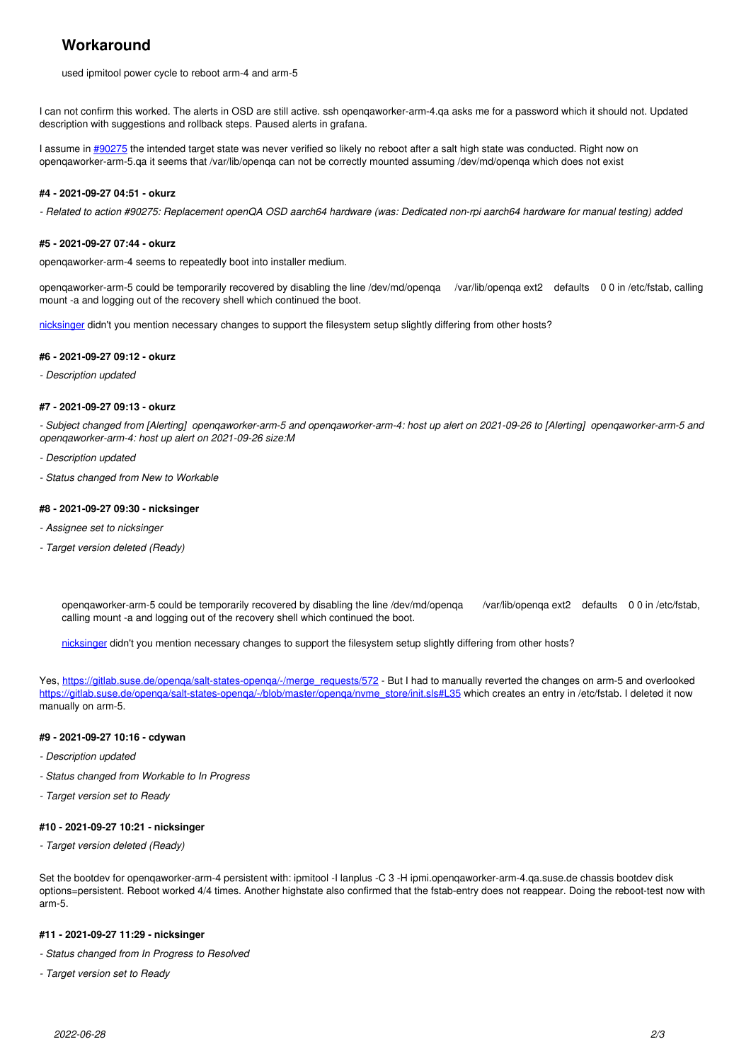# **Workaround**

used ipmitool power cycle to reboot arm-4 and arm-5

I can not confirm this worked. The alerts in OSD are still active. ssh openqaworker-arm-4.qa asks me for a password which it should not. Updated description with suggestions and rollback steps. Paused alerts in grafana.

I assume in [#90275](https://progress.opensuse.org/issues/90275) the intended target state was never verified so likely no reboot after a salt high state was conducted. Right now on openqaworker-arm-5.qa it seems that /var/lib/openqa can not be correctly mounted assuming /dev/md/openqa which does not exist

#### **#4 - 2021-09-27 04:51 - okurz**

*- Related to action #90275: Replacement openQA OSD aarch64 hardware (was: Dedicated non-rpi aarch64 hardware for manual testing) added*

#### **#5 - 2021-09-27 07:44 - okurz**

openqaworker-arm-4 seems to repeatedly boot into installer medium.

openqaworker-arm-5 could be temporarily recovered by disabling the line /dev/md/openqa /var/lib/openqa ext2 defaults 0 0 in /etc/fstab, calling mount -a and logging out of the recovery shell which continued the boot.

[nicksinger](progress.opensuse.org/users/24624) didn't you mention necessary changes to support the filesystem setup slightly differing from other hosts?

#### **#6 - 2021-09-27 09:12 - okurz**

*- Description updated*

#### **#7 - 2021-09-27 09:13 - okurz**

*- Subject changed from [Alerting] openqaworker-arm-5 and openqaworker-arm-4: host up alert on 2021-09-26 to [Alerting] openqaworker-arm-5 and openqaworker-arm-4: host up alert on 2021-09-26 size:M*

- *Description updated*
- *Status changed from New to Workable*

#### **#8 - 2021-09-27 09:30 - nicksinger**

- *Assignee set to nicksinger*
- *Target version deleted (Ready)*

openqaworker-arm-5 could be temporarily recovered by disabling the line /dev/md/openqa /var/lib/openqa ext2 defaults 0 0 in /etc/fstab, calling mount -a and logging out of the recovery shell which continued the boot.

[nicksinger](progress.opensuse.org/users/24624) didn't you mention necessary changes to support the filesystem setup slightly differing from other hosts?

Yes, [https://gitlab.suse.de/openqa/salt-states-openqa/-/merge\\_requests/572](https://gitlab.suse.de/openqa/salt-states-openqa/-/merge_requests/572) - But I had to manually reverted the changes on arm-5 and overlooked https://gitlab.suse.de/openga/salt-states-openga/-/blob/master/openga/nvme\_store/init.sls#L35 which creates an entry in /etc/fstab. I deleted it now manually on arm-5.

#### **#9 - 2021-09-27 10:16 - cdywan**

- *Description updated*
- *Status changed from Workable to In Progress*
- *Target version set to Ready*

#### **#10 - 2021-09-27 10:21 - nicksinger**

*- Target version deleted (Ready)*

Set the bootdev for openqaworker-arm-4 persistent with: ipmitool -I lanplus -C 3 -H ipmi.openqaworker-arm-4.qa.suse.de chassis bootdev disk options=persistent. Reboot worked 4/4 times. Another highstate also confirmed that the fstab-entry does not reappear. Doing the reboot-test now with arm-5.

#### **#11 - 2021-09-27 11:29 - nicksinger**

- *Status changed from In Progress to Resolved*
- *Target version set to Ready*